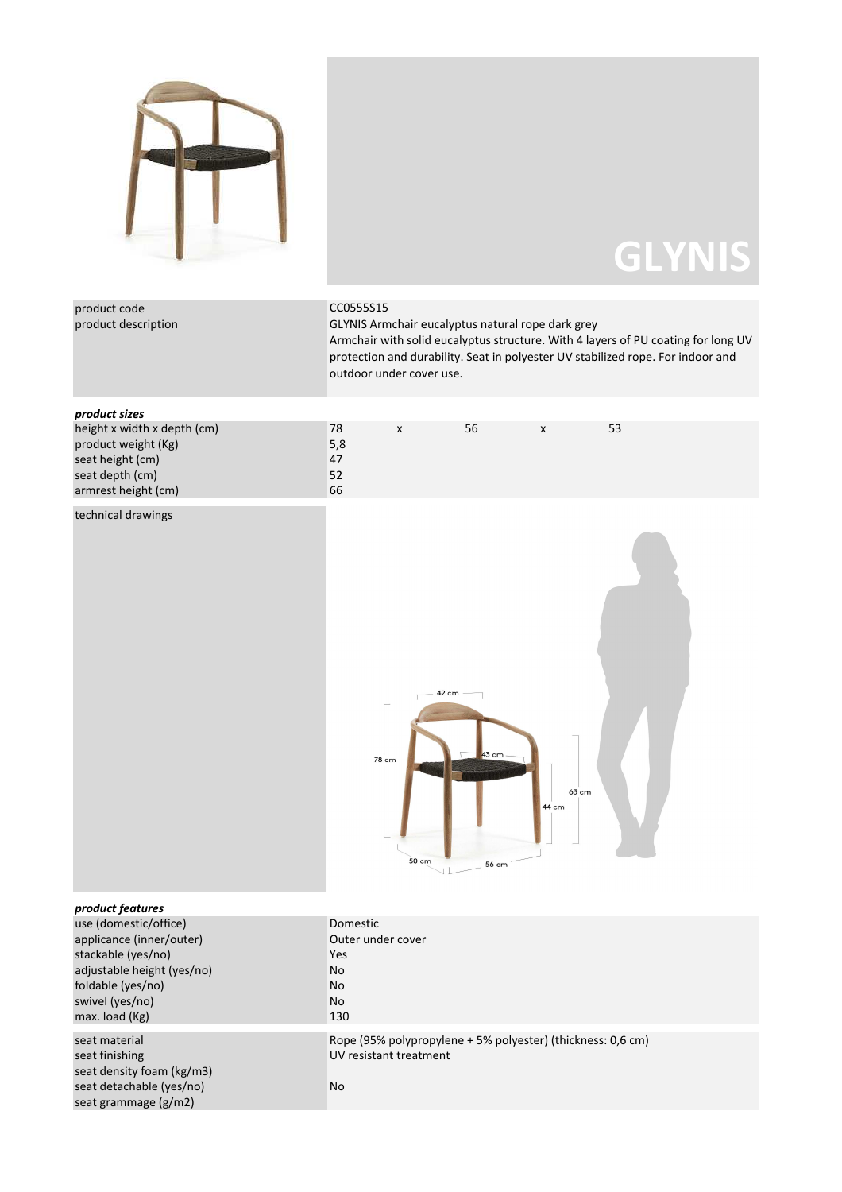

## **GLYNIS**

| product code<br>product description                                                                                                                                                 | CC0555S15<br>GLYNIS Armchair eucalyptus natural rope dark grey<br>Armchair with solid eucalyptus structure. With 4 layers of PU coating for long UV<br>protection and durability. Seat in polyester UV stabilized rope. For indoor and<br>outdoor under cover use. |  |  |  |  |  |
|-------------------------------------------------------------------------------------------------------------------------------------------------------------------------------------|--------------------------------------------------------------------------------------------------------------------------------------------------------------------------------------------------------------------------------------------------------------------|--|--|--|--|--|
| product sizes                                                                                                                                                                       |                                                                                                                                                                                                                                                                    |  |  |  |  |  |
| height x width x depth (cm)<br>product weight (Kg)<br>seat height (cm)<br>seat depth (cm)<br>armrest height (cm)                                                                    | 56<br>53<br>78<br>$\pmb{\times}$<br>$\pmb{\mathsf{x}}$<br>5,8<br>47<br>52<br>66                                                                                                                                                                                    |  |  |  |  |  |
| technical drawings                                                                                                                                                                  | 42 cm<br>43 cm<br>78 cm<br>63 cm<br>44 cm<br>50 cm<br>56 cm                                                                                                                                                                                                        |  |  |  |  |  |
| product features<br>use (domestic/office)<br>applicance (inner/outer)<br>stackable (yes/no)<br>adjustable height (yes/no)<br>foldable (yes/no)<br>swivel (yes/no)<br>max. load (Kg) | Domestic<br>Outer under cover<br>Yes<br>No<br>No<br>No<br>130                                                                                                                                                                                                      |  |  |  |  |  |
| seat material<br>seat finishing<br>seat density foam (kg/m3)<br>seat detachable (yes/no)<br>seat grammage (g/m2)                                                                    | Rope (95% polypropylene + 5% polyester) (thickness: 0,6 cm)<br>UV resistant treatment<br>No                                                                                                                                                                        |  |  |  |  |  |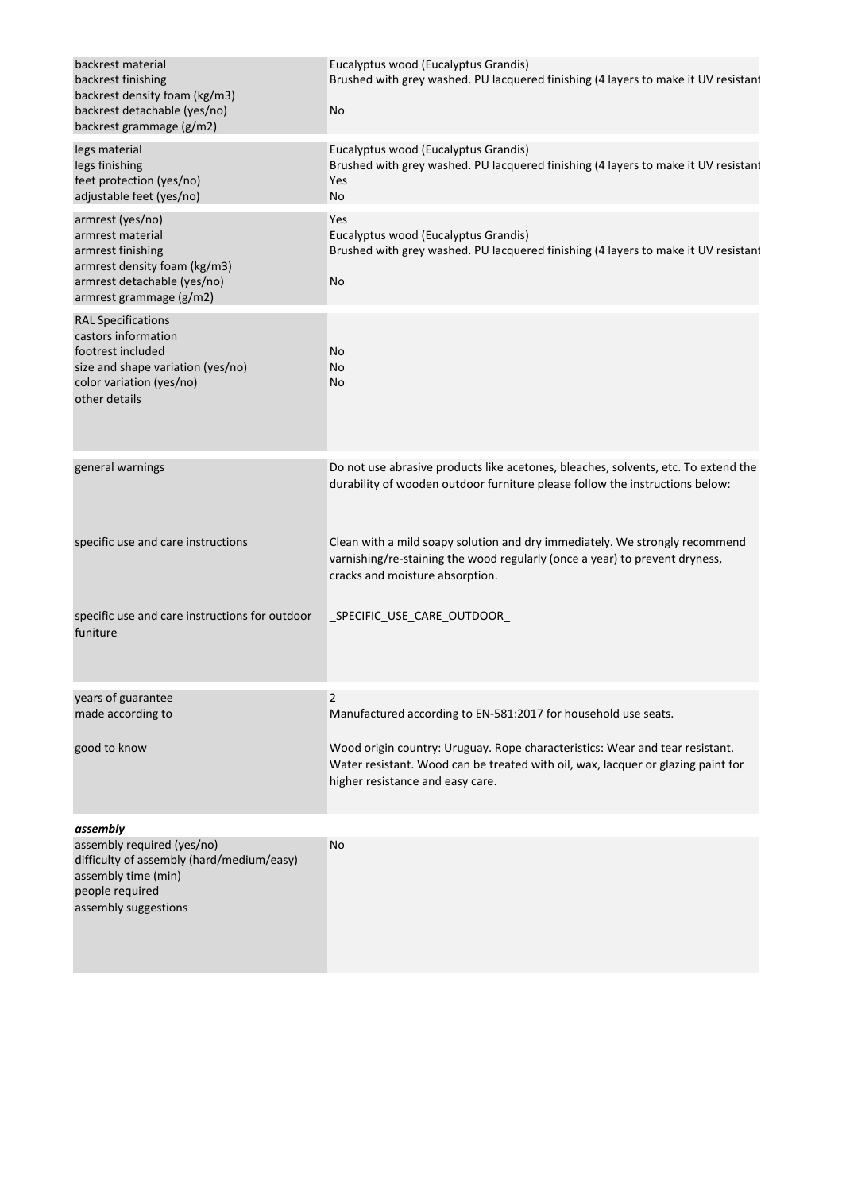| backrest material<br>backrest finishing<br>backrest density foam (kg/m3)<br>backrest detachable (yes/no)<br>backrest grammage (g/m2)                    | Eucalyptus wood (Eucalyptus Grandis)<br>Brushed with grey washed. PU lacquered finishing (4 layers to make it UV resistant<br>No                                                                     |
|---------------------------------------------------------------------------------------------------------------------------------------------------------|------------------------------------------------------------------------------------------------------------------------------------------------------------------------------------------------------|
| legs material<br>legs finishing<br>feet protection (yes/no)<br>adjustable feet (yes/no)                                                                 | Eucalyptus wood (Eucalyptus Grandis)<br>Brushed with grey washed. PU lacquered finishing (4 layers to make it UV resistant<br>Yes<br>No                                                              |
| armrest (yes/no)<br>armrest material<br>armrest finishing<br>armrest density foam (kg/m3)<br>armrest detachable (yes/no)<br>armrest grammage (g/m2)     | Yes<br>Eucalyptus wood (Eucalyptus Grandis)<br>Brushed with grey washed. PU lacquered finishing (4 layers to make it UV resistant<br>No                                                              |
| <b>RAL Specifications</b><br>castors information<br>footrest included<br>size and shape variation (yes/no)<br>color variation (yes/no)<br>other details | No<br>No<br>No                                                                                                                                                                                       |
| general warnings                                                                                                                                        | Do not use abrasive products like acetones, bleaches, solvents, etc. To extend the<br>durability of wooden outdoor furniture please follow the instructions below:                                   |
| specific use and care instructions                                                                                                                      | Clean with a mild soapy solution and dry immediately. We strongly recommend<br>varnishing/re-staining the wood regularly (once a year) to prevent dryness,<br>cracks and moisture absorption.        |
| specific use and care instructions for outdoor<br>funiture                                                                                              | _SPECIFIC_USE_CARE_OUTDOOR_                                                                                                                                                                          |
| years of guarantee<br>made according to                                                                                                                 | Manufactured according to EN-581:2017 for household use seats.                                                                                                                                       |
| good to know                                                                                                                                            | Wood origin country: Uruguay. Rope characteristics: Wear and tear resistant.<br>Water resistant. Wood can be treated with oil, wax, lacquer or glazing paint for<br>higher resistance and easy care. |
| assembly<br>assembly required (yes/no)<br>difficulty of assembly (hard/medium/easy)<br>assembly time (min)<br>people required<br>assembly suggestions   | No                                                                                                                                                                                                   |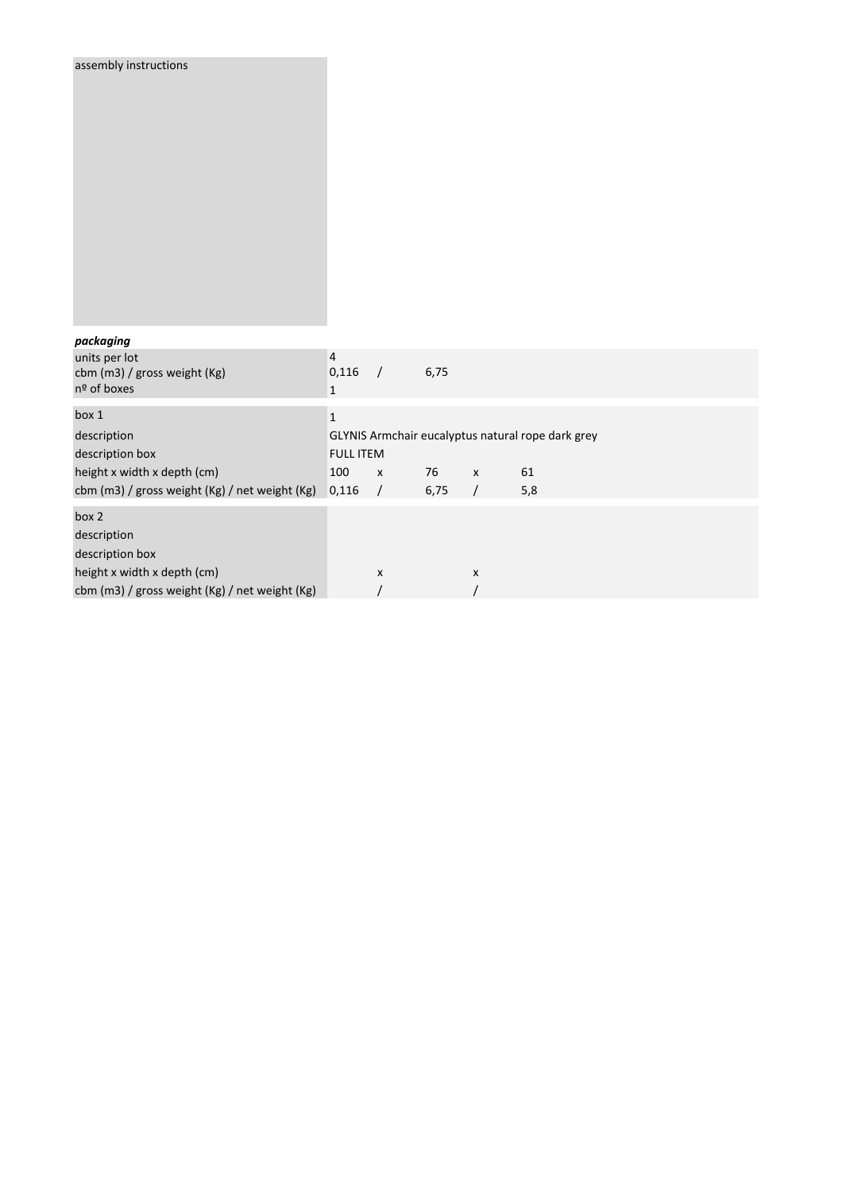| assembly instructions                                                         |                                                   |                    |      |                |     |  |  |
|-------------------------------------------------------------------------------|---------------------------------------------------|--------------------|------|----------------|-----|--|--|
| packaging                                                                     |                                                   |                    |      |                |     |  |  |
| units per lot<br>cbm (m3) / gross weight (Kg)<br>nº of boxes                  | $\sqrt{4}$<br>0,116<br>$\mathbf 1$                | $\sqrt{ }$         | 6,75 |                |     |  |  |
| box 1                                                                         | $\mathbf{1}$                                      |                    |      |                |     |  |  |
| description                                                                   | GLYNIS Armchair eucalyptus natural rope dark grey |                    |      |                |     |  |  |
| description box                                                               | <b>FULL ITEM</b>                                  |                    |      |                |     |  |  |
| height x width x depth (cm)                                                   | 100                                               | $\pmb{\mathsf{x}}$ | 76   | $\pmb{\chi}$   | 61  |  |  |
| cbm (m3) / gross weight (Kg) / net weight (Kg)                                | 0,116                                             | $\prime$           | 6,75 | $\sqrt{2}$     | 5,8 |  |  |
| box 2<br>description<br>description box                                       |                                                   |                    |      |                |     |  |  |
| height x width x depth (cm)<br>cbm (m3) / gross weight (Kg) / net weight (Kg) |                                                   | X                  |      | $\pmb{\times}$ |     |  |  |